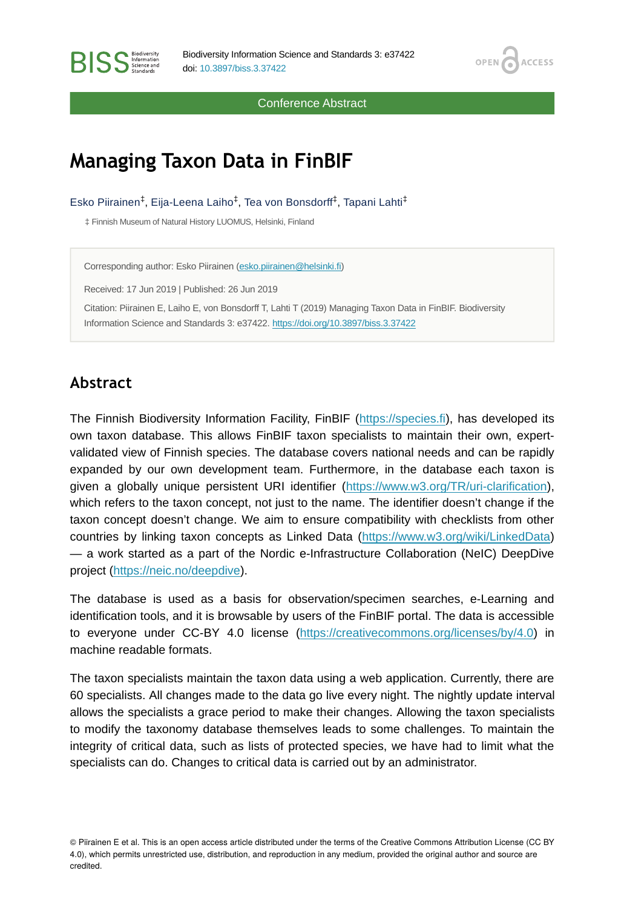Conference Abstract

OPEN<sub>6</sub>

**ACCESS** 

# **Managing Taxon Data in FinBIF**

Esko Piirainen<sup>‡</sup>, Eija-Leena Laiho<sup>‡</sup>, Tea von Bonsdorff<sup>‡</sup>, Tapani Lahti<sup>‡</sup>

‡ Finnish Museum of Natural History LUOMUS, Helsinki, Finland

Corresponding author: Esko Piirainen [\(esko.piirainen@helsinki.fi\)](mailto:esko.piirainen@helsinki.fi)

Received: 17 Jun 2019 | Published: 26 Jun 2019

Citation: Piirainen E, Laiho E, von Bonsdorff T, Lahti T (2019) Managing Taxon Data in FinBIF. Biodiversity Information Science and Standards 3: e37422.<https://doi.org/10.3897/biss.3.37422>

# **Abstract**

The Finnish Biodiversity Information Facility, FinBIF [\(https://species.fi\)](https://species.fi), has developed its own taxon database. This allows FinBIF taxon specialists to maintain their own, expertvalidated view of Finnish species. The database covers national needs and can be rapidly expanded by our own development team. Furthermore, in the database each taxon is given a globally unique persistent URI identifier [\(https://www.w3.org/TR/uri-clarification\)](https://www.w3.org/TR/uri-clarification), which refers to the taxon concept, not just to the name. The identifier doesn't change if the taxon concept doesn't change. We aim to ensure compatibility with checklists from other countries by linking taxon concepts as Linked Data [\(https://www.w3.org/wiki/LinkedData](https://www.w3.org/wiki/LinkedData)) — a work started as a part of the Nordic e-Infrastructure Collaboration (NeIC) DeepDive project ([https://neic.no/deepdive](https://neic.no/deepdive/)).

The database is used as a basis for observation/specimen searches, e-Learning and identification tools, and it is browsable by users of the FinBIF portal. The data is accessible to everyone under CC-BY 4.0 license ([https://creativecommons.org/licenses/by/4.0\)](https://creativecommons.org/licenses/by/4.0) in machine readable formats.

The taxon specialists maintain the taxon data using a web application. Currently, there are 60 specialists. All changes made to the data go live every night. The nightly update interval allows the specialists a grace period to make their changes. Allowing the taxon specialists to modify the taxonomy database themselves leads to some challenges. To maintain the integrity of critical data, such as lists of protected species, we have had to limit what the specialists can do. Changes to critical data is carried out by an administrator.

© Piirainen E et al. This is an open access article distributed under the terms of the Creative Commons Attribution License (CC BY 4.0), which permits unrestricted use, distribution, and reproduction in any medium, provided the original author and source are credited.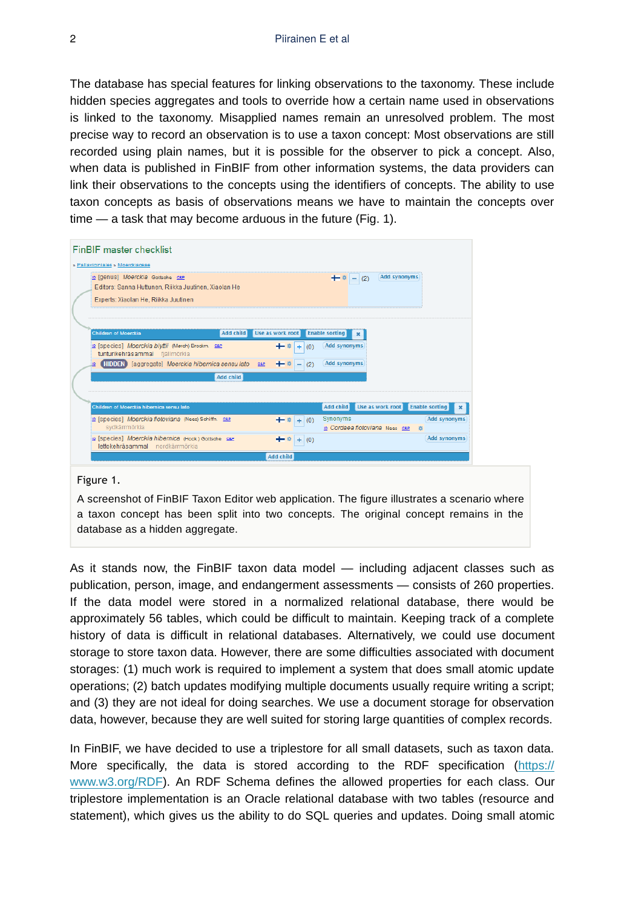The database has special features for linking observations to the taxonomy. These include hidden species aggregates and tools to override how a certain name used in observations is linked to the taxonomy. Misapplied names remain an unresolved problem. The most precise way to record an observation is to use a taxon concept: Most observations are still recorded using plain names, but it is possible for the observer to pick a concept. Also, when data is published in FinBIF from other information systems, the data providers can link their observations to the concepts using the identifiers of concepts. The ability to use taxon concepts as basis of observations means we have to maintain the concepts over time — a task that may become arduous in the future (Fig. 1).

| <b>FinBIF</b> master checklist                                                                                                                                                                                                                           |
|----------------------------------------------------------------------------------------------------------------------------------------------------------------------------------------------------------------------------------------------------------|
| » Pallaviciniales » Moerckiaceae                                                                                                                                                                                                                         |
| <b>Add synonyms</b><br>p [genus] Moerckia Gottsche car<br>$- (2)$<br>$+$ $\frac{1}{2}$<br>Editors: Sanna Huttunen, Riikka Juutinen, Xiaolan He<br>Experts: Xiaolan He, Riikka Juutinen                                                                   |
| Add child<br><b>Enable sorting</b><br><b>Children of Moerckia</b><br>Use as work root                                                                                                                                                                    |
| R [species] Moerckia blyttii (Mørch) Brockm. SEP<br><b>Add synonyms</b><br>$+$ $+$<br>Œ.<br>(0)<br>tunturikehräsammal fjällmörkia<br><b>Add synonyms</b><br><b>HIDDEN</b> [aggregate] Moerckia hibernica sensu lato<br><b>O&amp;P</b><br>$+ $ $-$<br>(2) |
| <b>Add child</b>                                                                                                                                                                                                                                         |
| Add child Use as work root<br><b>Enable sorting</b><br>Children of Moerckia hibernica sensu lato<br>$\mathbf{x}$                                                                                                                                         |
| Synonyms<br><b>Add synonyms</b><br>In [species] Moerckia flotoviana (Nees) Schiffn. C&P<br>$+$ # $+$ (0)<br>sydkärrmörkia<br>ip Cordaea flotoviana Nees can as                                                                                           |
| D [Species] Moerckia hibernica (Hook.) Gottsche C&P<br><b>Add synonyms</b><br>$\cdot$<br>$+ (0)$<br>lettokehräsammal nordkärrmörkia                                                                                                                      |
| <b>Add child</b>                                                                                                                                                                                                                                         |

#### Figure 1.

A screenshot of FinBIF Taxon Editor web application. The figure illustrates a scenario where a taxon concept has been split into two concepts. The original concept remains in the database as a hidden aggregate.

As it stands now, the FinBIF taxon data model — including adjacent classes such as publication, person, image, and endangerment assessments — consists of 260 properties. If the data model were stored in a normalized relational database, there would be approximately 56 tables, which could be difficult to maintain. Keeping track of a complete history of data is difficult in relational databases. Alternatively, we could use document storage to store taxon data. However, there are some difficulties associated with document storages: (1) much work is required to implement a system that does small atomic update operations; (2) batch updates modifying multiple documents usually require writing a script; and (3) they are not ideal for doing searches. We use a document storage for observation data, however, because they are well suited for storing large quantities of complex records.

In FinBIF, we have decided to use a triplestore for all small datasets, such as taxon data. More specifically, the data is stored according to the RDF specification [\(https://](https://www.w3.org/RDF) [www.w3.org/RDF\)](https://www.w3.org/RDF). An RDF Schema defines the allowed properties for each class. Our triplestore implementation is an Oracle relational database with two tables (resource and statement), which gives us the ability to do SQL queries and updates. Doing small atomic